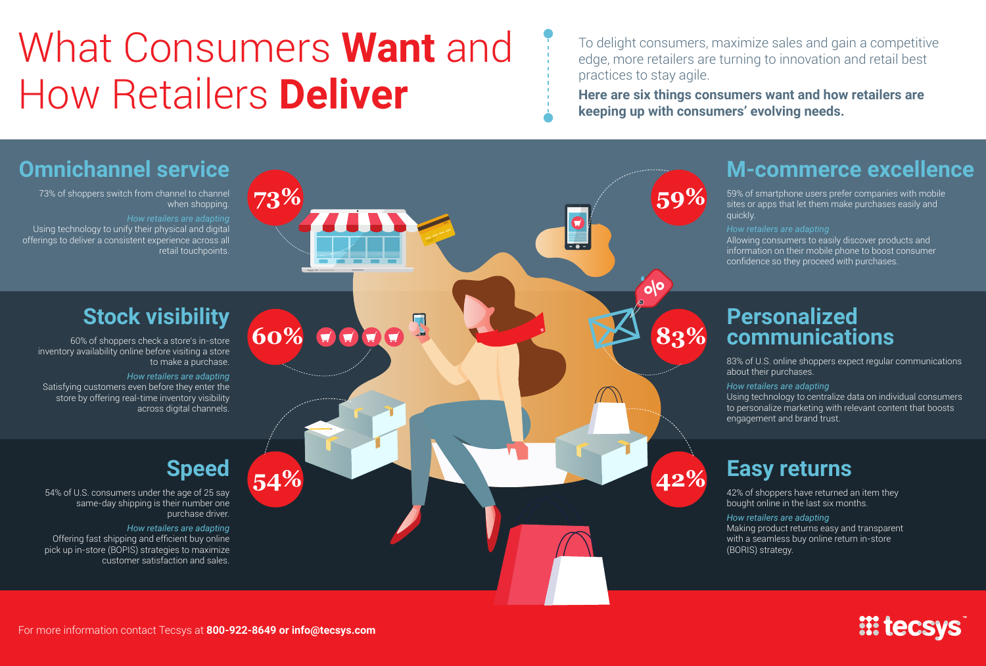## What Consumers **Want** and How Retailers **Deliver**

To delight consumers, maximize sales and gain a competitive edge, more retailers are turning to innovation and retail best practices to stay agile.

**Here are six things consumers want and how retailers are keeping up with consumers' evolving needs.** 

## **Omnichannel service M-commerce excellence 73% 59%** 73% of shoppers switch from channel to channel 59% of smartphone users prefer companies with mobile when shopping. sites or apps that let them make purchases easily and quickly. *How retailers are adapting*  $\Omega$ Using technology to unify their physical and digital offerings to deliver a consistent experience across all Allowing consumers to easily discover products and  $\overline{\phantom{a}}$  . information on their mobile phone to boost consumer retail touchpoints. confidence so they proceed with purchases. olo **Stock visibility Personalized**   $\overline{\mathbf{u}}$ **60% BOGGEST 124 83% communications** 60% of shoppers check a store's in-store inventory availability online before visiting a store 83% of U.S. online shoppers expect regular communications to make a purchase. about their purchases. *How retailers are adapting* Satisfying customers even before they enter the *How retailers are adapting* Using technology to centralize data on individual consumers store by offering real-time inventory visibility across digital channels. to personalize marketing with relevant content that boosts engagement and brand trust. **Speed Easy returns 54% 42%**54% of U.S. consumers under the age of 25 say 42% of shoppers have returned an item they same-day shipping is their number one bought online in the last six months. purchase driver. *How retailers are adapting How retailers are adapting* Making product returns easy and transparent Offering fast shipping and efficient buy online with a seamless buy online return in-store pick up in-store (BOPIS) strategies to maximize (BORIS) strategy. customer satisfaction and sales. *III* tecsys

For more information contact Tecsys at **800-922-8649 or info@tecsys.com**